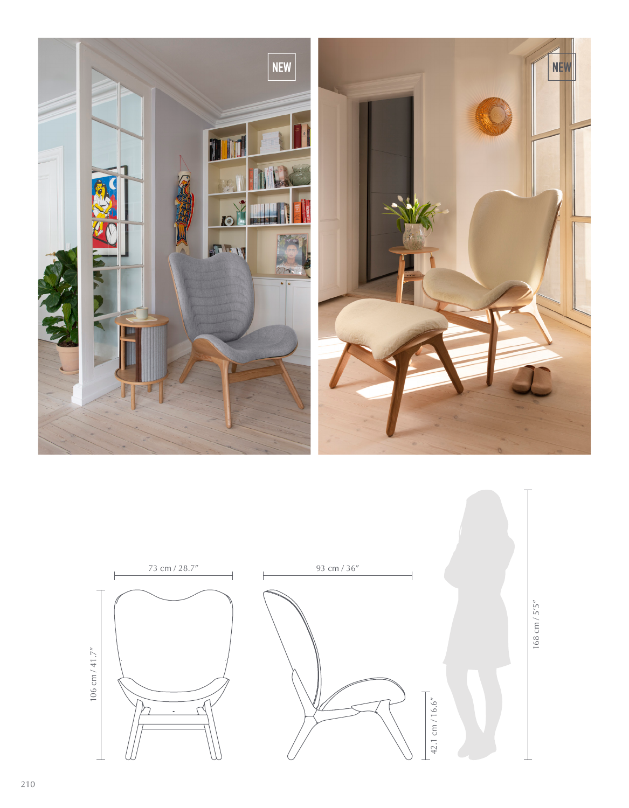